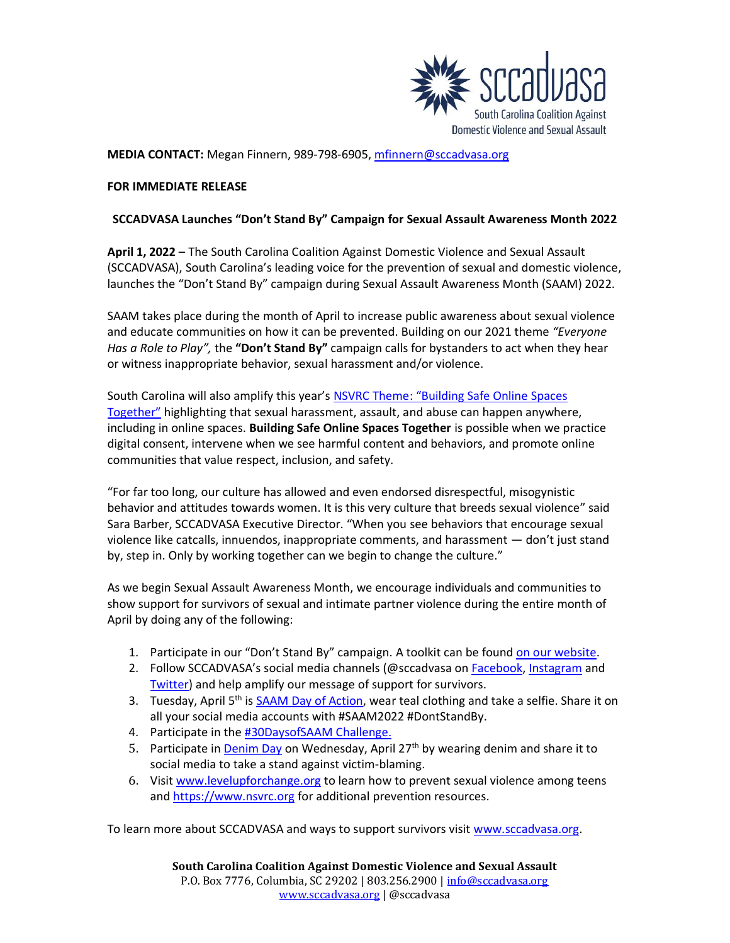

**MEDIA CONTACT:** Megan Finnern, 989-798-6905, [mfinnern@sccadvasa.org](mailto:mfinnern@sccadvasa.org)

## **FOR IMMEDIATE RELEASE**

## **SCCADVASA Launches "Don't Stand By" Campaign for Sexual Assault Awareness Month 2022**

**April 1, 2022** – The South Carolina Coalition Against Domestic Violence and Sexual Assault (SCCADVASA), South Carolina's leading voice for the prevention of sexual and domestic violence, launches the "Don't Stand By" campaign during Sexual Assault Awareness Month (SAAM) 2022.

SAAM takes place during the month of April to increase public awareness about sexual violence and educate communities on how it can be prevented. Building on our 2021 theme *"Everyone Has a Role to Play",* the **"Don't Stand By"** campaign calls for bystanders to act when they hear or witness inappropriate behavior, sexual harassment and/or violence.

South Carolina will also amplify this year's [NSVRC Theme: "Building Safe Online Spaces](https://www.nsvrc.org/saam)  [Together"](https://www.nsvrc.org/saam) highlighting that sexual harassment, assault, and abuse can happen anywhere, including in online spaces. **Building Safe Online Spaces Together** is possible when we practice digital consent, intervene when we see harmful content and behaviors, and promote online communities that value respect, inclusion, and safety.

"For far too long, our culture has allowed and even endorsed disrespectful, misogynistic behavior and attitudes towards women. It is this very culture that breeds sexual violence" said Sara Barber, SCCADVASA Executive Director. "When you see behaviors that encourage sexual violence like catcalls, innuendos, inappropriate comments, and harassment — don't just stand by, step in. Only by working together can we begin to change the culture."

As we begin Sexual Assault Awareness Month, we encourage individuals and communities to show support for survivors of sexual and intimate partner violence during the entire month of April by doing any of the following:

- 1. Participate in our "Don't Stand By" campaign. A toolkit can be found [on our website.](https://www.sccadvasa.org/saam2022/)
- 2. Follow SCCADVASA's social media channels (@sccadvasa o[n Facebook,](https://www.facebook.com/SCCADVASA) [Instagram](https://www.instagram.com/sccadvasa/) and [Twitter\)](https://twitter.com/SCCADVASA) and help amplify our message of support for survivors.
- 3. Tuesday, April 5<sup>th</sup> is **SAAM Day of Action**, wear teal clothing and take a selfie. Share it on all your social media accounts with #SAAM2022 #DontStandBy.
- 4. Participate in the [#30DaysofSAAM Challenge.](https://www.nsvrc.org/saam/2022/getinvolved/30daysofsaam)
- 5. Participate in **Denim Day** on Wednesday, April 27<sup>th</sup> by wearing denim and share it to social media to take a stand against victim-blaming.
- 6. Visit [www.levelupforchange.org](http://www.levelupforchange.org/) to learn how to prevent sexual violence among teens and [https://www.nsvrc.org](https://www.nsvrc.org/) for additional prevention resources.

To learn more about SCCADVASA and ways to support survivors visit [www.sccadvasa.org.](http://www.sccadvasa.org/)